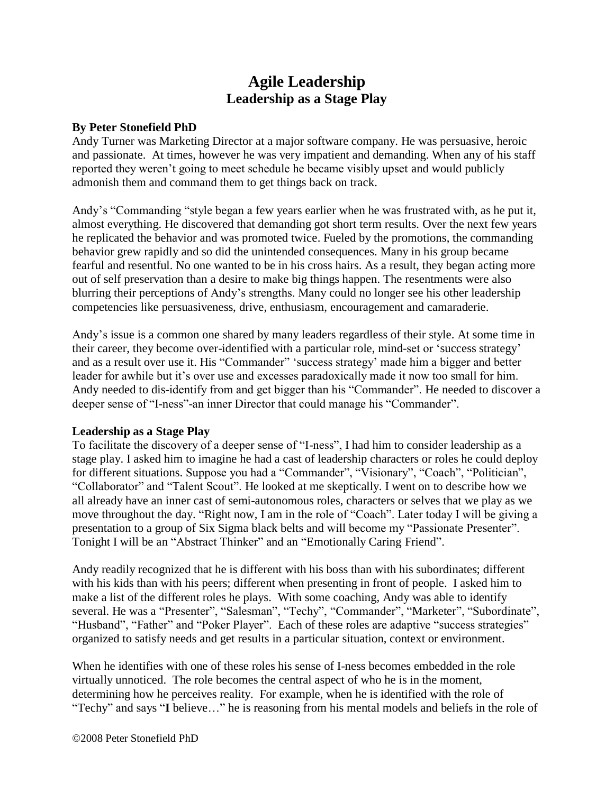# **Agile Leadership Leadership as a Stage Play**

## **By Peter Stonefield PhD**

Andy Turner was Marketing Director at a major software company. He was persuasive, heroic and passionate. At times, however he was very impatient and demanding. When any of his staff reported they weren't going to meet schedule he became visibly upset and would publicly admonish them and command them to get things back on track.

Andy's "Commanding "style began a few years earlier when he was frustrated with, as he put it, almost everything. He discovered that demanding got short term results. Over the next few years he replicated the behavior and was promoted twice. Fueled by the promotions, the commanding behavior grew rapidly and so did the unintended consequences. Many in his group became fearful and resentful. No one wanted to be in his cross hairs. As a result, they began acting more out of self preservation than a desire to make big things happen. The resentments were also blurring their perceptions of Andy's strengths. Many could no longer see his other leadership competencies like persuasiveness, drive, enthusiasm, encouragement and camaraderie.

Andy's issue is a common one shared by many leaders regardless of their style. At some time in their career, they become over-identified with a particular role, mind-set or 'success strategy' and as a result over use it. His "Commander" 'success strategy' made him a bigger and better leader for awhile but it's over use and excesses paradoxically made it now too small for him. Andy needed to dis-identify from and get bigger than his "Commander". He needed to discover a deeper sense of "I-ness"-an inner Director that could manage his "Commander".

## **Leadership as a Stage Play**

To facilitate the discovery of a deeper sense of "I-ness", I had him to consider leadership as a stage play. I asked him to imagine he had a cast of leadership characters or roles he could deploy for different situations. Suppose you had a "Commander", "Visionary", "Coach", "Politician", "Collaborator" and "Talent Scout". He looked at me skeptically. I went on to describe how we all already have an inner cast of semi-autonomous roles, characters or selves that we play as we move throughout the day. "Right now, I am in the role of "Coach". Later today I will be giving a presentation to a group of Six Sigma black belts and will become my "Passionate Presenter". Tonight I will be an "Abstract Thinker" and an "Emotionally Caring Friend".

Andy readily recognized that he is different with his boss than with his subordinates; different with his kids than with his peers; different when presenting in front of people. I asked him to make a list of the different roles he plays. With some coaching, Andy was able to identify several. He was a "Presenter", "Salesman", "Techy", "Commander", "Marketer", "Subordinate", "Husband", "Father" and "Poker Player". Each of these roles are adaptive "success strategies" organized to satisfy needs and get results in a particular situation, context or environment.

When he identifies with one of these roles his sense of I-ness becomes embedded in the role virtually unnoticed. The role becomes the central aspect of who he is in the moment, determining how he perceives reality. For example, when he is identified with the role of "Techy" and says "**I** believe…" he is reasoning from his mental models and beliefs in the role of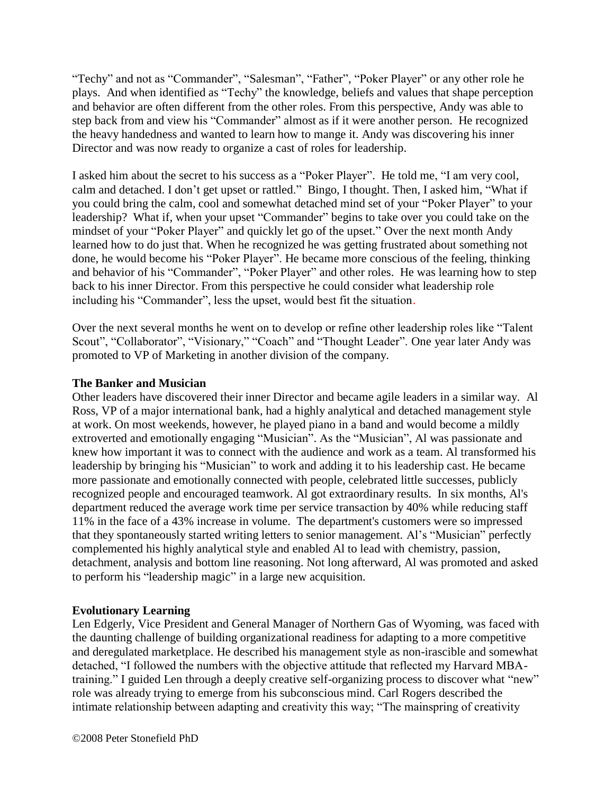"Techy" and not as "Commander", "Salesman", "Father", "Poker Player" or any other role he plays. And when identified as "Techy" the knowledge, beliefs and values that shape perception and behavior are often different from the other roles. From this perspective, Andy was able to step back from and view his "Commander" almost as if it were another person. He recognized the heavy handedness and wanted to learn how to mange it. Andy was discovering his inner Director and was now ready to organize a cast of roles for leadership.

I asked him about the secret to his success as a "Poker Player". He told me, "I am very cool, calm and detached. I don't get upset or rattled." Bingo, I thought. Then, I asked him, "What if you could bring the calm, cool and somewhat detached mind set of your "Poker Player" to your leadership? What if, when your upset "Commander" begins to take over you could take on the mindset of your "Poker Player" and quickly let go of the upset." Over the next month Andy learned how to do just that. When he recognized he was getting frustrated about something not done, he would become his "Poker Player". He became more conscious of the feeling, thinking and behavior of his "Commander", "Poker Player" and other roles. He was learning how to step back to his inner Director. From this perspective he could consider what leadership role including his "Commander", less the upset, would best fit the situation.

Over the next several months he went on to develop or refine other leadership roles like "Talent Scout", "Collaborator", "Visionary," "Coach" and "Thought Leader". One year later Andy was promoted to VP of Marketing in another division of the company.

## **The Banker and Musician**

Other leaders have discovered their inner Director and became agile leaders in a similar way. Al Ross, VP of a major international bank, had a highly analytical and detached management style at work. On most weekends, however, he played piano in a band and would become a mildly extroverted and emotionally engaging "Musician". As the "Musician", Al was passionate and knew how important it was to connect with the audience and work as a team. Al transformed his leadership by bringing his "Musician" to work and adding it to his leadership cast. He became more passionate and emotionally connected with people, celebrated little successes, publicly recognized people and encouraged teamwork. Al got extraordinary results. In six months, Al's department reduced the average work time per service transaction by 40% while reducing staff 11% in the face of a 43% increase in volume. The department's customers were so impressed that they spontaneously started writing letters to senior management. Al's "Musician" perfectly complemented his highly analytical style and enabled Al to lead with chemistry, passion, detachment, analysis and bottom line reasoning. Not long afterward, Al was promoted and asked to perform his "leadership magic" in a large new acquisition.

## **Evolutionary Learning**

Len Edgerly, Vice President and General Manager of Northern Gas of Wyoming, was faced with the daunting challenge of building organizational readiness for adapting to a more competitive and deregulated marketplace. He described his management style as non-irascible and somewhat detached, "I followed the numbers with the objective attitude that reflected my Harvard MBAtraining." I guided Len through a deeply creative self-organizing process to discover what "new" role was already trying to emerge from his subconscious mind. Carl Rogers described the intimate relationship between adapting and creativity this way; "The mainspring of creativity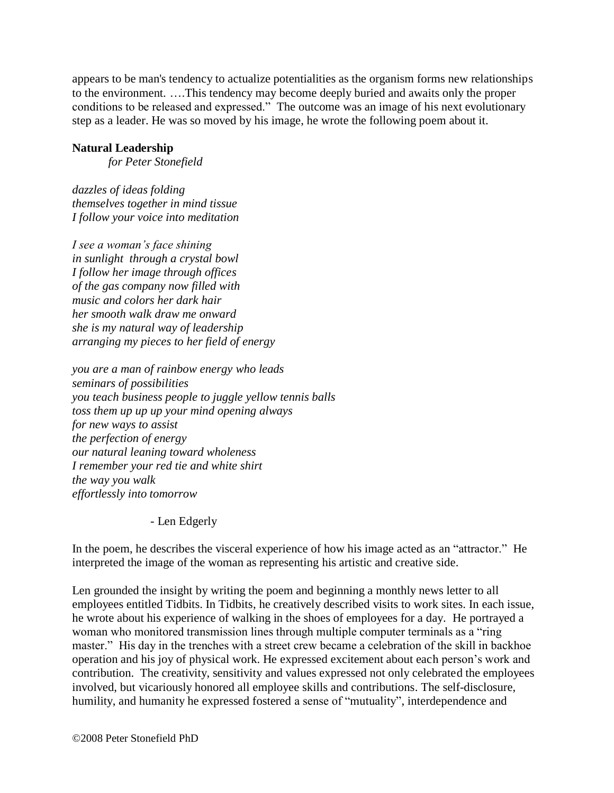appears to be man's tendency to actualize potentialities as the organism forms new relationships to the environment. ….This tendency may become deeply buried and awaits only the proper conditions to be released and expressed." The outcome was an image of his next evolutionary step as a leader. He was so moved by his image, he wrote the following poem about it.

## **Natural Leadership**

*for Peter Stonefield*

*dazzles of ideas folding themselves together in mind tissue I follow your voice into meditation* 

*I see a woman's face shining in sunlight through a crystal bowl I follow her image through offices of the gas company now filled with music and colors her dark hair her smooth walk draw me onward she is my natural way of leadership arranging my pieces to her field of energy*

*you are a man of rainbow energy who leads seminars of possibilities you teach business people to juggle yellow tennis balls toss them up up up your mind opening always for new ways to assist the perfection of energy our natural leaning toward wholeness I remember your red tie and white shirt the way you walk effortlessly into tomorrow*

- Len Edgerly

In the poem, he describes the visceral experience of how his image acted as an "attractor." He interpreted the image of the woman as representing his artistic and creative side.

Len grounded the insight by writing the poem and beginning a monthly news letter to all employees entitled Tidbits. In Tidbits, he creatively described visits to work sites. In each issue, he wrote about his experience of walking in the shoes of employees for a day. He portrayed a woman who monitored transmission lines through multiple computer terminals as a "ring master." His day in the trenches with a street crew became a celebration of the skill in backhoe operation and his joy of physical work. He expressed excitement about each person's work and contribution. The creativity, sensitivity and values expressed not only celebrated the employees involved, but vicariously honored all employee skills and contributions. The self-disclosure, humility, and humanity he expressed fostered a sense of "mutuality", interdependence and